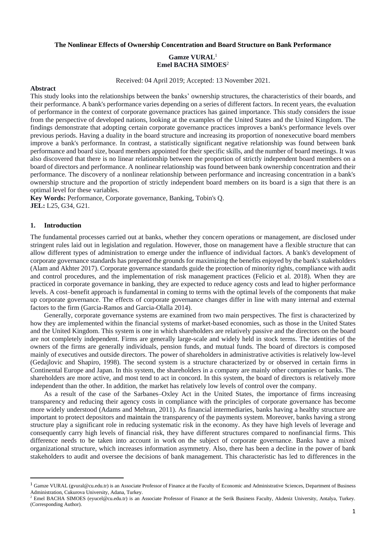### **The Nonlinear Effects of Ownership Concentration and Board Structure on Bank Performance**

# **Gamze VURAL**<sup>1</sup> **Emel BACHA SIMOES**<sup>2</sup>

Received: 04 April 2019; Accepted: 13 November 2021.

# **Abstract**

This study looks into the relationships between the banks' ownership structures, the characteristics of their boards, and their performance. A bank's performance varies depending on a series of different factors. In recent years, the evaluation of performance in the context of corporate governance practices has gained importance. This study considers the issue from the perspective of developed nations, looking at the examples of the United States and the United Kingdom. The findings demonstrate that adopting certain corporate governance practices improves a bank's performance levels over previous periods. Having a duality in the board structure and increasing its proportion of nonexecutive board members improve a bank's performance. In contrast, a statistically significant negative relationship was found between bank performance and board size, board members appointed for their specific skills, and the number of board meetings. It was also discovered that there is no linear relationship between the proportion of strictly independent board members on a board of directors and performance. A nonlinear relationship was found between bank ownership concentration and their performance. The discovery of a nonlinear relationship between performance and increasing concentration in a bank's ownership structure and the proportion of strictly independent board members on its board is a sign that there is an optimal level for these variables.

**Key Words:** Performance, Corporate governance, Banking, Tobin's Q. **JEL:** L25, G34, G21.

# **1. Introduction**

The fundamental processes carried out at banks, whether they concern operations or management, are disclosed under stringent rules laid out in legislation and regulation. However, those on management have a flexible structure that can allow different types of administration to emerge under the influence of individual factors. A bank's development of corporate governance standards has prepared the grounds for maximizing the benefits enjoyed by the bank's stakeholders (Alam and Akhter 2017). Corporate governance standards guide the protection of minority rights, compliance with audit and control procedures, and the implementation of risk management practices (Felicio et al. 2018). When they are practiced in corporate governance in banking, they are expected to reduce agency costs and lead to higher performance levels. A cost–benefit approach is fundamental in coming to terms with the optimal levels of the components that make up corporate governance. The effects of corporate governance changes differ in line with many internal and external factors to the firm (Garcia-Ramos and Garcia-Olalla 2014).

Generally, corporate governance systems are examined from two main perspectives. The first is characterized by how they are implemented within the financial systems of market-based economies, such as those in the United States and the United Kingdom. This system is one in which shareholders are relatively passive and the directors on the board are not completely independent. Firms are generally large-scale and widely held in stock terms. The identities of the owners of the firms are generally individuals, pension funds, and mutual funds. The board of directors is composed mainly of executives and outside directors. The power of shareholders in administrative activities is relatively low-level (Gedajlovic and Shapiro, 1998). The second system is a structure characterized by or observed in certain firms in Continental Europe and Japan. In this system, the shareholders in a company are mainly other companies or banks. The shareholders are more active, and most tend to act in concord. In this system, the board of directors is relatively more independent than the other. In addition, the market has relatively low levels of control over the company.

As a result of the case of the Sarbanes–Oxley Act in the United States, the importance of firms increasing transparency and reducing their agency costs in compliance with the principles of corporate governance has become more widely understood (Adams and Mehran, 2011). As financial intermediaries, banks having a healthy structure are important to protect depositors and maintain the transparency of the payments system. Moreover, banks having a strong structure play a significant role in reducing systematic risk in the economy. As they have high levels of leverage and consequently carry high levels of financial risk, they have different structures compared to nonfinancial firms. This difference needs to be taken into account in work on the subject of corporate governance. Banks have a mixed organizational structure, which increases information asymmetry. Also, there has been a decline in the power of bank stakeholders to audit and oversee the decisions of bank management. This characteristic has led to differences in the

<sup>&</sup>lt;sup>1</sup> Gamze VURAL (gvural@cu.edu.tr) is an Associate Professor of Finance at the Faculty of Economic and Administrative Sciences, Department of Business Administration, Cukurova University, Adana, Turkey.

<sup>&</sup>lt;sup>2</sup> Emel BACHA SIMOES [\(eyucel@cu.edu.tr\)](mailto:eyucel@cu.edu.tr) is an Associate Professor of Finance at the Serik Business Faculty, Akdeniz University, Antalya, Turkey. (Corresponding Author).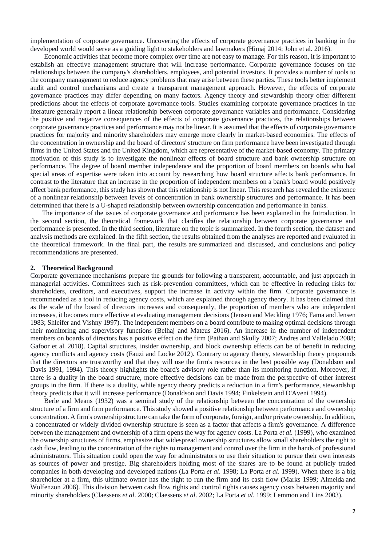implementation of corporate governance. Uncovering the effects of corporate governance practices in banking in the developed world would serve as a guiding light to stakeholders and lawmakers (Himaj 2014; John et al. 2016).

Economic activities that become more complex over time are not easy to manage. For this reason, it is important to establish an effective management structure that will increase performance. Corporate governance focuses on the relationships between the company's shareholders, employees, and potential investors. It provides a number of tools to the company management to reduce agency problems that may arise between these parties. These tools better implement audit and control mechanisms and create a transparent management approach. However, the effects of corporate governance practices may differ depending on many factors. Agency theory and stewardship theory offer different predictions about the effects of corporate governance tools. Studies examining corporate governance practices in the literature generally report a linear relationship between corporate governance variables and performance. Considering the positive and negative consequences of the effects of corporate governance practices, the relationships between corporate governance practices and performance may not be linear. It is assumed that the effects of corporate governance practices for majority and minority shareholders may emerge more clearly in market-based economies. The effects of the concentration in ownership and the board of directors' structure on firm performance have been investigated through firms in the United States and the United Kingdom, which are representative of the market-based economy. The primary motivation of this study is to investigate the nonlinear effects of board structure and bank ownership structure on performance. The degree of board member independence and the proportion of board members on boards who had special areas of expertise were taken into account by researching how board structure affects bank performance. In contrast to the literature that an increase in the proportion of independent members on a bank's board would positively affect bank performance, this study has shown that this relationship is not linear. This research has revealed the existence of a nonlinear relationship between levels of concentration in bank ownership structures and performance. It has been determined that there is a U-shaped relationship between ownership concentration and performance in banks.

The importance of the issues of corporate governance and performance has been explained in the Introduction. In the second section, the theoretical framework that clarifies the relationship between corporate governance and performance is presented. In the third section, literature on the topic is summarized. In the fourth section, the dataset and analysis methods are explained. In the fifth section, the results obtained from the analyses are reported and evaluated in the theoretical framework. In the final part, the results are summarized and discussed, and conclusions and policy recommendations are presented.

#### **2. Theoretical Background**

Corporate governance mechanisms prepare the grounds for following a transparent, accountable, and just approach in managerial activities. Committees such as risk-prevention committees, which can be effective in reducing risks for shareholders, creditors, and executives, support the increase in activity within the firm. Corporate governance is recommended as a tool in reducing agency costs, which are explained through agency theory. It has been claimed that as the scale of the board of directors increases and consequently, the proportion of members who are independent increases, it becomes more effective at evaluating management decisions (Jensen and Meckling 1976; Fama and Jensen 1983; Shleifer and Vishny 1997). The independent members on a board contribute to making optimal decisions through their monitoring and supervisory functions (Belhaj and Mateus 2016). An increase in the number of independent members on boards of directors has a positive effect on the firm (Pathan and Skully 2007; Andres and Vallelado 2008; Gafoor et al. 2018). Capital structures, insider ownership, and block ownership effects can be of benefit in reducing agency conflicts and agency costs (Fauzi and Locke 2012). Contrary to agency theory, stewardship theory propounds that the directors are trustworthy and that they will use the firm's resources in the best possible way (Donaldson and Davis 1991, 1994). This theory highlights the board's advisory role rather than its monitoring function. Moreover, if there is a duality in the board structure, more effective decisions can be made from the perspective of other interest groups in the firm. If there is a duality, while agency theory predicts a reduction in a firm's performance, stewardship theory predicts that it will increase performance (Donaldson and Davis 1994; Finkelstein and D'Aveni 1994).

Berle and Means (1932) was a seminal study of the relationship between the concentration of the ownership structure of a firm and firm performance. This study showed a positive relationship between performance and ownership concentration. A firm's ownership structure can take the form of corporate, foreign, and/or private ownership. In addition, a concentrated or widely divided ownership structure is seen as a factor that affects a firm's governance. A difference between the management and ownership of a firm opens the way for agency costs. La Porta *et al.* (1999), who examined the ownership structures of firms, emphasize that widespread ownership structures allow small shareholders the right to cash flow, leading to the concentration of the rights to management and control over the firm in the hands of professional administrators. This situation could open the way for administrators to use their situation to pursue their own interests as sources of power and prestige. Big shareholders holding most of the shares are to be found at publicly traded companies in both developing and developed nations (La Porta *et al*. 1998; La Porta *et al*. 1999). When there is a big shareholder at a firm, this ultimate owner has the right to run the firm and its cash flow (Marks 1999; Almeida and Wolfenzon 2006). This division between cash flow rights and control rights causes agency costs between majority and minority shareholders (Claessens *et al*. 2000; Claessens *et al*. 2002; La Porta *et al*. 1999; Lemmon and Lins 2003).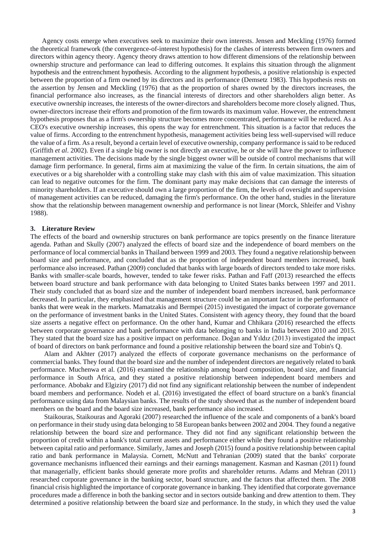Agency costs emerge when executives seek to maximize their own interests. Jensen and Meckling (1976) formed the theoretical framework (the convergence-of-interest hypothesis) for the clashes of interests between firm owners and directors within agency theory. Agency theory draws attention to how different dimensions of the relationship between ownership structure and performance can lead to differing outcomes. It explains this situation through the alignment hypothesis and the entrenchment hypothesis. According to the alignment hypothesis, a positive relationship is expected between the proportion of a firm owned by its directors and its performance (Demsetz 1983). This hypothesis rests on the assertion by Jensen and Meckling (1976) that as the proportion of shares owned by the directors increases, the financial performance also increases, as the financial interests of directors and other shareholders align better. As executive ownership increases, the interests of the owner-directors and shareholders become more closely aligned. Thus, owner-directors increase their efforts and promotion of the firm towards its maximum value. However, the entrenchment hypothesis proposes that as a firm's ownership structure becomes more concentrated, performance will be reduced. As a CEO's executive ownership increases, this opens the way for entrenchment. This situation is a factor that reduces the value of firms. According to the entrenchment hypothesis, management activities being less well-supervised will reduce the value of a firm. As a result, beyond a certain level of executive ownership, company performance is said to be reduced (Griffith *et al*. 2002). Even if a single big owner is not directly an executive, he or she will have the power to influence management activities. The decisions made by the single biggest owner will be outside of control mechanisms that will damage firm performance. In general, firms aim at maximizing the value of the firm. In certain situations, the aim of executives or a big shareholder with a controlling stake may clash with this aim of value maximization. This situation can lead to negative outcomes for the firm. The dominant party may make decisions that can damage the interests of minority shareholders. If an executive should own a large proportion of the firm, the levels of oversight and supervision of management activities can be reduced, damaging the firm's performance. On the other hand, studies in the literature show that the relationship between management ownership and performance is not linear (Morck, Shleifer and Vishny 1988).

## **3. Literature Review**

The effects of the board and ownership structures on bank performance are topics presently on the finance literature agenda. Pathan and Skully (2007) analyzed the effects of board size and the independence of board members on the performance of local commercial banks in Thailand between 1999 and 2003. They found a negative relationship between board size and performance, and concluded that as the proportion of independent board members increased, bank performance also increased. Pathan (2009) concluded that banks with large boards of directors tended to take more risks. Banks with smaller-scale boards, however, tended to take fewer risks. Pathan and Faff (2013) researched the effects between board structure and bank performance with data belonging to United States banks between 1997 and 2011. Their study concluded that as board size and the number of independent board members increased, bank performance decreased. In particular, they emphasized that management structure could be an important factor in the performance of banks that were weak in the markets. Mamatzakis and Bermpei (2015) investigated the impact of corporate governance on the performance of investment banks in the United States. Consistent with agency theory, they found that the board size asserts a negative effect on performance. On the other hand, Kumar and Chhikara (2016) researched the effects between corporate governance and bank performance with data belonging to banks in India between 2010 and 2015. They stated that the board size has a positive impact on performance. Doğan and Yıldız (2013) investigated the impact of board of directors on bank performance and found a positive relationship between the board size and Tobin's Q.

Alam and Akhter (2017) analyzed the effects of corporate governance mechanisms on the performance of commercial banks. They found that the board size and the number of independent directors are negatively related to bank performance. Muchenwa et al. (2016) examined the relationship among board composition, board size, and financial performance in South Africa, and they stated a positive relationship between independent board members and performance. Abobakr and Elgiziry (2017) did not find any significant relationship between the number of independent board members and performance. Nodeh et al. (2016) investigated the effect of board structure on a bank's financial performance using data from Malaysian banks. The results of the study showed that as the number of independent board members on the board and the board size increased, bank performance also increased.

Staikouras, Staikouras and Agoraki (2007) researched the influence of the scale and components of a bank's board on performance in their study using data belonging to 58 European banks between 2002 and 2004. They found a negative relationship between the board size and performance. They did not find any significant relationship between the proportion of credit within a bank's total current assets and performance either while they found a positive relationship between capital ratio and performance. Similarly, James and Joseph (2015) found a positive relationship between capital ratio and bank performance in Malaysia. Cornett, McNutt and Tehranian (2009) stated that the banks' corporate governance mechanisms influenced their earnings and their earnings management. Kasman and Kasman (2011) found that managerially, efficient banks should generate more profits and shareholder returns. Adams and Mehran (2011) researched corporate governance in the banking sector, board structure, and the factors that affected them. The 2008 financial crisis highlighted the importance of corporate governance in banking. They identified that corporate governance procedures made a difference in both the banking sector and in sectors outside banking and drew attention to them. They determined a positive relationship between the board size and performance. In the study, in which they used the value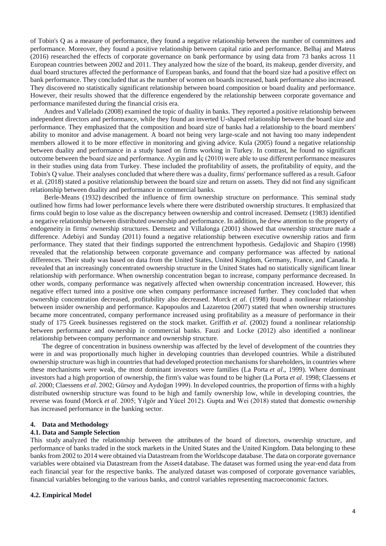of Tobin's Q as a measure of performance, they found a negative relationship between the number of committees and performance. Moreover, they found a positive relationship between capital ratio and performance. Belhaj and Mateus (2016) researched the effects of corporate governance on bank performance by using data from 73 banks across 11 European countries between 2002 and 2011. They analyzed how the size of the board, its makeup, gender diversity, and dual board structures affected the performance of European banks, and found that the board size had a positive effect on bank performance. They concluded that as the number of women on boards increased, bank performance also increased. They discovered no statistically significant relationship between board composition or board duality and performance. However, their results showed that the difference engendered by the relationship between corporate governance and performance manifested during the financial crisis era.

Andres and Vallelado (2008) examined the topic of duality in banks. They reported a positive relationship between independent directors and performance, while they found an inverted U-shaped relationship between the board size and performance. They emphasized that the composition and board size of banks had a relationship to the board members' ability to monitor and advise management. A board not being very large-scale and not having too many independent members allowed it to be more effective in monitoring and giving advice. Kula (2005) found a negative relationship between duality and performance in a study based on firms working in Turkey. In contrast, he found no significant outcome between the board size and performance. Aygün and İç (2010) were able to use different performance measures in their studies using data from Turkey. These included the profitability of assets, the profitability of equity, and the Tobin's Q value. Their analyses concluded that where there was a duality, firms' performance suffered as a result. Gafoor et al. (2018) stated a positive relationship between the board size and return on assets. They did not find any significant relationship between duality and performance in commercial banks.

Berle-Means (1932) described the influence of firm ownership structure on performance. This seminal study outlined how firms had lower performance levels where there were distributed ownership structures. It emphasized that firms could begin to lose value as the discrepancy between ownership and control increased. Demsetz (1983) identified a negative relationship between distributed ownership and performance. In addition, he drew attention to the property of endogeneity in firms' ownership structures. Demsetz and Villalonga (2001) showed that ownership structure made a difference. Adebiyi and Sunday (2011) found a negative relationship between executive ownership ratios and firm performance. They stated that their findings supported the entrenchment hypothesis. Gedajlovic and Shapiro (1998) revealed that the relationship between corporate governance and company performance was affected by national differences. Their study was based on data from the United States, United Kingdom, Germany, France, and Canada. It revealed that an increasingly concentrated ownership structure in the United States had no statistically significant linear relationship with performance. When ownership concentration began to increase, company performance decreased. In other words, company performance was negatively affected when ownership concentration increased. However, this negative effect turned into a positive one when company performance increased further. They concluded that when ownership concentration decreased, profitability also decreased. Morck *et al*. (1998) found a nonlinear relationship between insider ownership and performance. Kapopoulos and Lazaretou (2007) stated that when ownership structures became more concentrated, company performance increased using profitability as a measure of performance in their study of 175 Greek businesses registered on the stock market. Griffith *et al*. (2002) found a nonlinear relationship between performance and ownership in commercial banks. Fauzi and Locke (2012) also identified a nonlinear relationship between company performance and ownership structure.

The degree of concentration in business ownership was affected by the level of development of the countries they were in and was proportionally much higher in developing countries than developed countries. While a distributed ownership structure was high in countries that had developed protection mechanisms for shareholders, in countries where these mechanisms were weak, the most dominant investors were families (La Porta *et al*., 1999). Where dominant investors had a high proportion of ownership, the firm's value was found to be higher (La Porta *et al*. 1998; Claessens *et al*. 2000; Claessens *et al*. 2002; Gürsoy and Aydoğan 1999). In developed countries, the proportion of firms with a highly distributed ownership structure was found to be high and family ownership low, while in developing countries, the reverse was found (Morck *et al*. 2005; Yılgör and Yücel 2012). Gupta and Wei (2018) stated that domestic ownership has increased performance in the banking sector.

### **4. Data and Methodology**

## **4.1. Data and Sample Selection**

This study analyzed the relationship between the attributes of the board of directors, ownership structure, and performance of banks traded in the stock markets in the United States and the United Kingdom. Data belonging to these banks from 2002 to 2014 were obtained via Datastream from the Worldscope database. The data on corporate governance variables were obtained via Datastream from the Asset4 database. The dataset was formed using the year-end data from each financial year for the respective banks. The analyzed dataset was composed of corporate governance variables, financial variables belonging to the various banks, and control variables representing macroeconomic factors.

## **4.2. Empirical Model**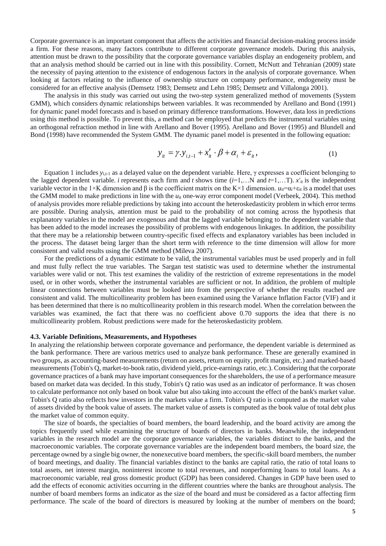Corporate governance is an important component that affects the activities and financial decision-making process inside a firm. For these reasons, many factors contribute to different corporate governance models. During this analysis, attention must be drawn to the possibility that the corporate governance variables display an endogeneity problem, and that an analysis method should be carried out in line with this possibility. Cornett, McNutt and Tehranian (2009) state the necessity of paying attention to the existence of endogenous factors in the analysis of corporate governance. When looking at factors relating to the influence of ownership structure on company performance, endogeneity must be considered for an effective analysis (Demsetz 1983; Demsetz and Lehn 1985; Demsetz and Villalonga 2001).

The analysis in this study was carried out using the two-step system generalized method of movements (System GMM), which considers dynamic relationships between variables. It was recommended by Arellano and Bond (1991) for dynamic panel model forecasts and is based on primary difference transformations. However, data loss in predictions using this method is possible. To prevent this, a method can be employed that predicts the instrumental variables using an orthogonal refraction method in line with Arellano and Bover (1995). Arellano and Bover (1995) and Blundell and Bond (1998) have recommended the System GMM. The dynamic panel model is presented in the following equation:

$$
y_{it} = \gamma \cdot y_{i,t-1} + x'_{it} \cdot \beta + \alpha_i + \varepsilon_{it}, \qquad (1)
$$

Equation 1 includes *y*i,t-1 as a delayed value on the dependent variable. Here, γ expresses a coefficient belonging to the lagged dependent variable. *i* represents each firm and *t* shows time  $(i=1,...N)$  and  $t=1,...T$ ). *x'<sub>it</sub>* is the independent variable vector in the 1×K dimension and β is the coefficient matrix on the K×1 dimension.  $u_{it} = α_i + ε_i$  is a model that uses the GMM model to make predictions in line with the  $u_{it}$  one-way error component model (Verbeek, 2004). This method of analysis provides more reliable predictions by taking into account the heteroskedasticity problem in which error terms are possible. During analysis, attention must be paid to the probability of not coming across the hypothesis that explanatory variables in the model are exogenous and that the lagged variable belonging to the dependent variable that has been added to the model increases the possibility of problems with endogenous linkages. In addition, the possibility that there may be a relationship between country-specific fixed effects and explanatory variables has been included in the process. The dataset being larger than the short term with reference to the time dimension will allow for more consistent and valid results using the GMM method (Mileva 2007).

For the predictions of a dynamic estimate to be valid, the instrumental variables must be used properly and in full and must fully reflect the true variables. The Sargan test statistic was used to determine whether the instrumental variables were valid or not. This test examines the validity of the restriction of extreme representations in the model used, or in other words, whether the instrumental variables are sufficient or not. In addition, the problem of multiple linear connections between variables must be looked into from the perspective of whether the results reached are consistent and valid. The multicollinearity problem has been examined using the Variance Inflation Factor (VIF) and it has been determined that there is no multicollinearity problem in this research model. When the correlation between the variables was examined, the fact that there was no coefficient above 0.70 supports the idea that there is no multicollinearity problem. Robust predictions were made for the heteroskedasticity problem.

## **4.3. Variable Definitions, Measurements, and Hypotheses**

In analyzing the relationship between corporate governance and performance, the dependent variable is determined as the bank performance. There are various metrics used to analyze bank performance. These are generally examined in two groups, as accounting-based measurements (return on assets, return on equity, profit margin, etc.) and marked-based measurements (Tobin's Q, market-to-book ratio, dividend yield, price-earnings ratio, etc.). Considering that the corporate governance practices of a bank may have important consequences for the shareholders, the use of a performance measure based on market data was decided. In this study, Tobin's Q ratio was used as an indicator of performance. It was chosen to calculate performance not only based on book value but also taking into account the effect of the bank's market value. Tobin's Q ratio also reflects how investors in the markets value a firm. Tobin's Q ratio is computed as the market value of assets divided by the book value of assets. The market value of assets is computed as the book value of total debt plus the market value of common equity.

The size of boards, the specialties of board members, the board leadership, and the board activity are among the topics frequently used while examining the structure of boards of directors in banks. Meanwhile, the independent variables in the research model are the corporate governance variables, the variables distinct to the banks, and the macroeconomic variables. The corporate governance variables are the independent board members, the board size, the percentage owned by a single big owner, the nonexecutive board members, the specific-skill board members, the number of board meetings, and duality. The financial variables distinct to the banks are capital ratio, the ratio of total loans to total assets, net interest margin, noninterest income to total revenues, and nonperforming loans to total loans. As a macroeconomic variable, real gross domestic product (GDP) has been considered. Changes in GDP have been used to add the effects of economic activities occurring in the different countries where the banks are throughout analysis. The number of board members forms an indicator as the size of the board and must be considered as a factor affecting firm performance. The scale of the board of directors is measured by looking at the number of members on the board;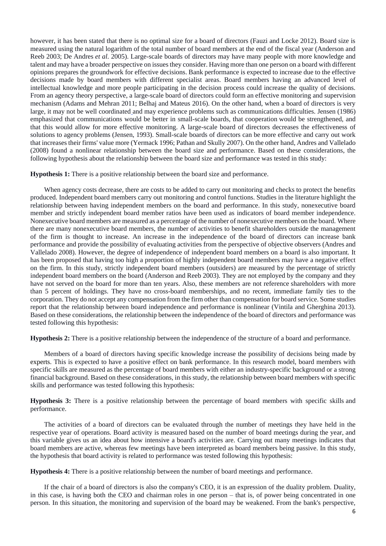however, it has been stated that there is no optimal size for a board of directors (Fauzi and Locke 2012). Board size is measured using the natural logarithm of the total number of board members at the end of the fiscal year (Anderson and Reeb 2003; De Andres *et al*. 2005). Large-scale boards of directors may have many people with more knowledge and talent and may have a broader perspective on issues they consider. Having more than one person on a board with different opinions prepares the groundwork for effective decisions. Bank performance is expected to increase due to the effective decisions made by board members with different specialist areas. Board members having an advanced level of intellectual knowledge and more people participating in the decision process could increase the quality of decisions. From an agency theory perspective, a large-scale board of directors could form an effective monitoring and supervision mechanism (Adams and Mehran 2011; Belhaj and Mateus 2016). On the other hand, when a board of directors is very large, it may not be well coordinated and may experience problems such as communications difficulties. Jensen (1986) emphasized that communications would be better in small-scale boards, that cooperation would be strengthened, and that this would allow for more effective monitoring. A large-scale board of directors decreases the effectiveness of solutions to agency problems (Jensen, 1993). Small-scale boards of directors can be more effective and carry out work that increases their firms' value more (Yermack 1996; Pathan and Skully 2007). On the other hand, Andres and Vallelado (2008) found a nonlinear relationship between the board size and performance. Based on these considerations, the following hypothesis about the relationship between the board size and performance was tested in this study:

**Hypothesis 1:** There is a positive relationship between the board size and performance.

When agency costs decrease, there are costs to be added to carry out monitoring and checks to protect the benefits produced. Independent board members carry out monitoring and control functions. Studies in the literature highlight the relationship between having independent members on the board and performance. In this study, nonexecutive board member and strictly independent board member ratios have been used as indicators of board member independence. Nonexecutive board members are measured as a percentage of the number of nonexecutive members on the board. Where there are many nonexecutive board members, the number of activities to benefit shareholders outside the management of the firm is thought to increase. An increase in the independence of the board of directors can increase bank performance and provide the possibility of evaluating activities from the perspective of objective observers (Andres and Vallelado 2008). However, the degree of independence of independent board members on a board is also important. It has been proposed that having too high a proportion of highly independent board members may have a negative effect on the firm. In this study, strictly independent board members (outsiders) are measured by the percentage of strictly independent board members on the board (Anderson and Reeb 2003). They are not employed by the company and they have not served on the board for more than ten years. Also, these members are not reference shareholders with more than 5 percent of holdings. They have no cross-board memberships, and no recent, immediate family ties to the corporation. They do not accept any compensation from the firm other than compensation for board service. Some studies report that the relationship between board independence and performance is nonlinear (Vintila and Gherghina 2013). Based on these considerations, the relationship between the independence of the board of directors and performance was tested following this hypothesis:

**Hypothesis 2:** There is a positive relationship between the independence of the structure of a board and performance.

Members of a board of directors having specific knowledge increase the possibility of decisions being made by experts. This is expected to have a positive effect on bank performance. In this research model, board members with specific skills are measured as the percentage of board members with either an industry-specific background or a strong financial background. Based on these considerations, in this study, the relationship between board members with specific skills and performance was tested following this hypothesis:

**Hypothesis 3:** There is a positive relationship between the percentage of board members with specific skills and performance.

The activities of a board of directors can be evaluated through the number of meetings they have held in the respective year of operations. Board activity is measured based on the number of board meetings during the year, and this variable gives us an idea about how intensive a board's activities are. Carrying out many meetings indicates that board members are active, whereas few meetings have been interpreted as board members being passive. In this study, the hypothesis that board activity is related to performance was tested following this hypothesis:

**Hypothesis 4:** There is a positive relationship between the number of board meetings and performance.

If the chair of a board of directors is also the company's CEO, it is an expression of the duality problem. Duality, in this case, is having both the CEO and chairman roles in one person – that is, of power being concentrated in one person. In this situation, the monitoring and supervision of the board may be weakened. From the bank's perspective,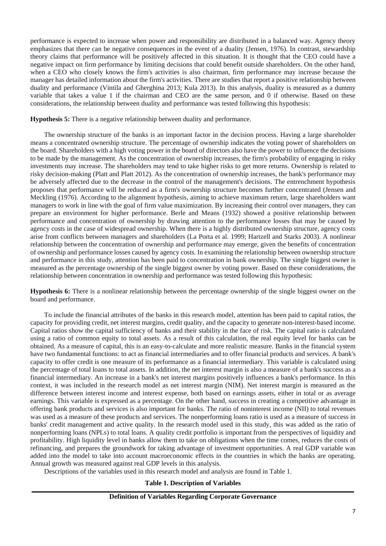performance is expected to increase when power and responsibility are distributed in a balanced way. Agency theory emphasizes that there can be negative consequences in the event of a duality (Jensen, 1976). In contrast, stewardship theory claims that performance will be positively affected in this situation. It is thought that the CEO could have a negative impact on firm performance by limiting decisions that could benefit outside shareholders. On the other hand, when a CEO who closely knows the firm's activities is also chairman, firm performance may increase because the manager has detailed information about the firm's activities. There are studies that report a positive relationship between duality and performance (Vintila and Gherghina 2013; Kula 2013). In this analysis, duality is measured as a dummy variable that takes a value 1 if the chairman and CEO are the same person, and 0 if otherwise. Based on these considerations, the relationship between duality and performance was tested following this hypothesis:

**Hypothesis 5:** There is a negative relationship between duality and performance.

The ownership structure of the banks is an important factor in the decision process. Having a large shareholder means a concentrated ownership structure. The percentage of ownership indicates the voting power of shareholders on the board. Shareholders with a high voting power in the board of directors also have the power to influence the decisions to be made by the management. As the concentration of ownership increases, the firm's probability of engaging in risky investments may increase. The shareholders may tend to take higher risks to get more returns. Ownership is related to risky decision-making (Platt and Platt 2012). As the concentration of ownership increases, the bank's performance may be adversely affected due to the decrease in the control of the management's decisions. The entrenchment hypothesis proposes that performance will be reduced as a firm's ownership structure becomes further concentrated (Jensen and Meckling (1976). According to the alignment hypothesis, aiming to achieve maximum return, large shareholders want managers to work in line with the goal of firm value maximization. By increasing their control over managers, they can prepare an environment for higher performance. Berle and Means (1932) showed a positive relationship between performance and concentration of ownership by drawing attention to the performance losses that may be caused by agency costs in the case of widespread ownership. When there is a highly distributed ownership structure, agency costs arise from conflicts between managers and shareholders (La Porta et al. 1999; Hartzell and Starks 2003). A nonlinear relationship between the concentration of ownership and performance may emerge, given the benefits of concentration of ownership and performance losses caused by agency costs. In examining the relationship between ownership structure and performance in this study, attention has been paid to concentration in bank ownership. The single biggest owner is measured as the percentage ownership of the single biggest owner by voting power. Based on these considerations, the relationship between concentration in ownership and performance was tested following this hypothesis:

**Hypothesis 6:** There is a nonlinear relationship between the percentage ownership of the single biggest owner on the board and performance.

To include the financial attributes of the banks in this research model, attention has been paid to capital ratios, the capacity for providing credit, net interest margins, credit quality, and the capacity to generate non-interest-based income. Capital ratios show the capital sufficiency of banks and their stability in the face of risk. The capital ratio is calculated using a ratio of common equity to total assets. As a result of this calculation, the real equity level for banks can be obtained. As a measure of capital, this is an easy-to-calculate and more realistic measure. Banks in the financial system have two fundamental functions: to act as financial intermediaries and to offer financial products and services. A bank's capacity to offer credit is one measure of its performance as a financial intermediary. This variable is calculated using the percentage of total loans to total assets. In addition, the net interest margin is also a measure of a bank's success as a financial intermediary. An increase in a bank's net interest margins positively influences a bank's performance. In this context, it was included in the research model as net interest margin (NIM). Net interest margin is measured as the difference between interest income and interest expense, both based on earnings assets, either in total or as average earnings. This variable is expressed as a percentage. On the other hand, success in creating a competitive advantage in offering bank products and services is also important for banks. The ratio of noninterest income (NII) to total revenues was used as a measure of these products and services. The nonperforming loans ratio is used as a measure of success in banks' credit management and active quality. In the research model used in this study, this was added as the ratio of nonperforming loans (NPLs) to total loans. A quality credit portfolio is important from the perspectives of liquidity and profitability. High liquidity level in banks allow them to take on obligations when the time comes, reduces the costs of refinancing, and prepares the groundwork for taking advantage of investment opportunities. A real GDP variable was added into the model to take into account macroeconomic effects in the countries in which the banks are operating. Annual growth was measured against real GDP levels in this analysis.

Descriptions of the variables used in this research model and analysis are found in Table 1.

# **Table 1. Description of Variables**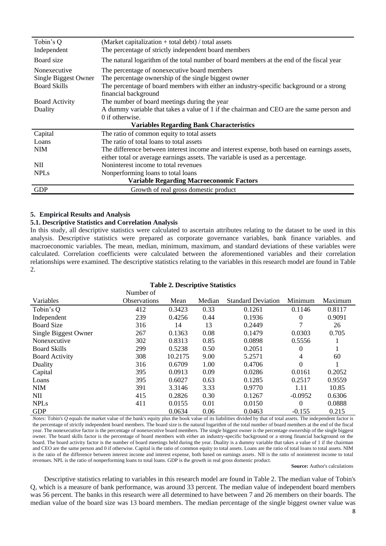| Tobin's Q             | (Market capitalization $+$ total debt) / total assets                                       |  |  |  |  |  |
|-----------------------|---------------------------------------------------------------------------------------------|--|--|--|--|--|
| Independent           | The percentage of strictly independent board members                                        |  |  |  |  |  |
| Board size            | The natural logarithm of the total number of board members at the end of the fiscal year    |  |  |  |  |  |
| Nonexecutive          | The percentage of nonexecutive board members                                                |  |  |  |  |  |
| Single Biggest Owner  | The percentage ownership of the single biggest owner                                        |  |  |  |  |  |
| <b>Board Skills</b>   | The percentage of board members with either an industry-specific background or a strong     |  |  |  |  |  |
|                       | financial background                                                                        |  |  |  |  |  |
| <b>Board Activity</b> | The number of board meetings during the year                                                |  |  |  |  |  |
| Duality               | A dummy variable that takes a value of 1 if the chairman and CEO are the same person and    |  |  |  |  |  |
|                       | 0 if otherwise.                                                                             |  |  |  |  |  |
|                       | <b>Variables Regarding Bank Characteristics</b>                                             |  |  |  |  |  |
| Capital               | The ratio of common equity to total assets                                                  |  |  |  |  |  |
| Loans                 | The ratio of total loans to total assets                                                    |  |  |  |  |  |
| <b>NIM</b>            | The difference between interest income and interest expense, both based on earnings assets, |  |  |  |  |  |
|                       | either total or average earnings assets. The variable is used as a percentage.              |  |  |  |  |  |
| <b>NII</b>            | Noninterest income to total revenues                                                        |  |  |  |  |  |
| <b>NPLs</b>           | Nonperforming loans to total loans                                                          |  |  |  |  |  |
|                       | <b>Variable Regarding Macroeconomic Factors</b>                                             |  |  |  |  |  |
| <b>GDP</b>            | Growth of real gross domestic product                                                       |  |  |  |  |  |

# **5. Empirical Results and Analysis**

# **5.1. Descriptive Statistics and Correlation Analysis**

In this study, all descriptive statistics were calculated to ascertain attributes relating to the dataset to be used in this analysis. Descriptive statistics were prepared as corporate governance variables, bank finance variables. and macroeconomic variables. The mean, median, minimum, maximum, and standard deviations of these variables were calculated. Correlation coefficients were calculated between the aforementioned variables and their correlation relationships were examined. The descriptive statistics relating to the variables in this research model are found in Table 2.

|                       | Number of           |         |        |                           |                |         |
|-----------------------|---------------------|---------|--------|---------------------------|----------------|---------|
| Variables             | <b>Observations</b> | Mean    | Median | <b>Standard Deviation</b> | Minimum        | Maximum |
| Tobin's Q             | 412                 | 0.3423  | 0.33   | 0.1261                    | 0.1146         | 0.8117  |
| Independent           | 239                 | 0.4256  | 0.44   | 0.1936                    | $\overline{0}$ | 0.9091  |
| <b>Board Size</b>     | 316                 | 14      | 13     | 0.2449                    | 7              | 26      |
| Single Biggest Owner  | 267                 | 0.1363  | 0.08   | 0.1479                    | 0.0303         | 0.705   |
| Nonexecutive          | 302                 | 0.8313  | 0.85   | 0.0898                    | 0.5556         |         |
| <b>Board Skills</b>   | 299                 | 0.5238  | 0.50   | 0.2051                    | 0              |         |
| <b>Board Activity</b> | 308                 | 10.2175 | 9.00   | 5.2571                    | 4              | 60      |
| Duality               | 316                 | 0.6709  | 1.00   | 0.4706                    | 0              |         |
| Capital               | 395                 | 0.0913  | 0.09   | 0.0286                    | 0.0161         | 0.2052  |
| Loans                 | 395                 | 0.6027  | 0.63   | 0.1285                    | 0.2517         | 0.9559  |
| <b>NIM</b>            | 391                 | 3.3146  | 3.33   | 0.9770                    | 1.11           | 10.85   |
| NII                   | 415                 | 0.2826  | 0.30   | 0.1267                    | $-0.0952$      | 0.6306  |
| <b>NPLs</b>           | 411                 | 0.0155  | 0.01   | 0.0150                    | $\theta$       | 0.0888  |
| <b>GDP</b>            |                     | 0.0634  | 0.06   | 0.0463                    | $-0.155$       | 0.215   |

*Notes:* Tobin's *Q* equals the market value of the bank's equity plus the book value of its liabilities divided by that of total assets. The independent factor is the percentage of strictly independent board members. The board size is the natural logarithm of the total number of board members at the end of the fiscal year. The nonexecutive factor is the percentage of nonexecutive board members. The single biggest owner is the percentage ownership of the single biggest owner. The board skills factor is the percentage of board members with either an industry-specific background or a strong financial background on the board. The board activity factor is the number of board meetings held during the year. Duality is a dummy variable that takes a value of 1 if the chairman and CEO are the same person and 0 if otherwise. Capital is the ratio of common equity to total assets. Loans are the ratio of total loans to total assets. NIM is the ratio of the difference between interest income and interest expense, both based on earnings assets. NII is the ratio of noninterest income to total revenues. NPL is the ratio of nonperforming loans to total loans. GDP is the growth in real gross domestic product.

# **Source:** Author's calculations

Descriptive statistics relating to variables in this research model are found in Table 2. The median value of Tobin's Q, which is a measure of bank performance, was around 33 percent. The median value of independent board members was 56 percent. The banks in this research were all determined to have between 7 and 26 members on their boards. The median value of the board size was 13 board members. The median percentage of the single biggest owner value was

# **Table 2. Descriptive Statistics**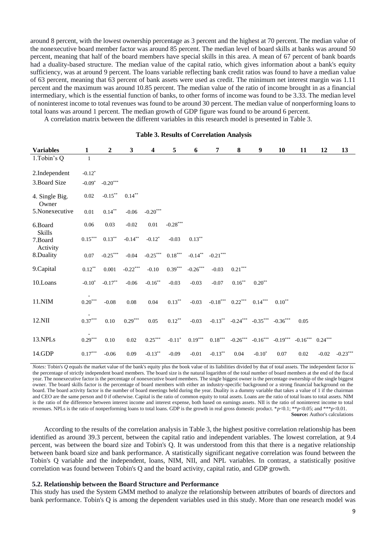around 8 percent, with the lowest ownership percentage as 3 percent and the highest at 70 percent. The median value of the nonexecutive board member factor was around 85 percent. The median level of board skills at banks was around 50 percent, meaning that half of the board members have special skills in this area. A mean of 67 percent of bank boards had a duality-based structure. The median value of the capital ratio, which gives information about a bank's equity sufficiency, was at around 9 percent. The loans variable reflecting bank credit ratios was found to have a median value of 63 percent, meaning that 63 percent of bank assets were used as credit. The minimum net interest margin was 1.11 percent and the maximum was around 10.85 percent. The median value of the ratio of income brought in as a financial intermediary, which is the essential function of banks, to other forms of income was found to be 3.33. The median level of noninterest income to total revenues was found to be around 30 percent. The median value of nonperforming loans to total loans was around 1 percent. The median growth of GDP figure was found to be around 6 percent.

A correlation matrix between the different variables in this research model is presented in Table 3.

| <b>Variables</b>         | 1                     | $\boldsymbol{2}$ | $\mathbf{3}$ | 4                               | 5                               | 6          | 7                     | 8                     | 9                                | 10         | 11         | 12        | 13         |
|--------------------------|-----------------------|------------------|--------------|---------------------------------|---------------------------------|------------|-----------------------|-----------------------|----------------------------------|------------|------------|-----------|------------|
| 1.Tobin's Q              | 1                     |                  |              |                                 |                                 |            |                       |                       |                                  |            |            |           |            |
| 2.Independent            | $-0.12*$              |                  |              |                                 |                                 |            |                       |                       |                                  |            |            |           |            |
| 3. Board Size            | $-0.09*$              | $-0.20***$       |              |                                 |                                 |            |                       |                       |                                  |            |            |           |            |
| 4. Single Big.<br>Owner  | $0.02\,$              | $-0.15***$       | $0.14***$    |                                 |                                 |            |                       |                       |                                  |            |            |           |            |
| 5.Nonexecutive           | 0.01                  | $0.14***$        | $-0.06$      | $\textbf{-0.20}^{\ast\ast\ast}$ |                                 |            |                       |                       |                                  |            |            |           |            |
| 6.Board<br><b>Skills</b> | $0.06\,$              | 0.03             | $-0.02$      | 0.01                            | $\textbf{-0.28}^{\ast\ast\ast}$ |            |                       |                       |                                  |            |            |           |            |
| 7.Board<br>Activity      | $0.15***$             | $0.13***$        | $-0.14***$   | $-0.12*$                        | $-0.03$                         | $0.13***$  |                       |                       |                                  |            |            |           |            |
| 8.Duality                | $0.07\,$              | $-0.25***$       | $-0.04$      | $-0.25***$                      | $0.18^{\ast\ast\ast}$           | $-0.14**$  | $-0.21***$            |                       |                                  |            |            |           |            |
| 9. Capital               | $0.12***$             | 0.001            | $-0.22***$   | $-0.10$                         | $0.39***$                       | $-0.26***$ | $-0.03$               | $0.21^{\ast\ast\ast}$ |                                  |            |            |           |            |
| 10.Loans                 | $-0.10*$              | $-0.17**$        | $-0.06$      | $-0.16^{\ast\ast}$              | $-0.03$                         | $-0.03$    | $-0.07$               | $0.16***$             | $0.20**$                         |            |            |           |            |
| 11.NIM                   | $0.20^{\ast\ast\ast}$ | $-0.08$          | $0.08\,$     | 0.04                            | $0.13***$                       | $-0.03$    | $-0.18***$            | $0.22***$             | $0.14^{\ast\ast\ast}$            | $0.10**$   |            |           |            |
| 12.NII                   | $0.37^{\ast\ast\ast}$ | 0.10             | $0.29***$    | 0.05                            | $0.12***$                       | $-0.03$    |                       |                       | $-0.13***$ $-0.24***$ $-0.35***$ | $-0.36***$ | 0.05       |           |            |
| 13.NPLs                  | $0.29***$             | 0.10             | 0.02         | $0.25***$                       | $-0.11*$                        | $0.19***$  | $0.18^{\ast\ast\ast}$ | $-0.26***$            | $-0.16***$                       | $-0.19***$ | $-0.16***$ | $0.24***$ |            |
| 14.GDP                   | $0.17***$             | $-0.06$          | 0.09         | $-0.13***$                      | $-0.09$                         | $-0.01$    | $-0.13**$             | $0.04\,$              | $-0.10*$                         | 0.07       | 0.02       | $-0.02$   | $-0.23***$ |

# **Table 3. Results of Correlation Analysis**

*Notes:* Tobin's *Q* equals the market value of the bank's equity plus the book value of its liabilities divided by that of total assets. The independent factor is the percentage of strictly independent board members. The board size is the natural logarithm of the total number of board members at the end of the fiscal year. The nonexecutive factor is the percentage of nonexecutive board members. The single biggest owner is the percentage ownership of the single biggest owner. The board skills factor is the percentage of board members with either an industry-specific background or a strong financial background on the board. The board activity factor is the number of board meetings held during the year. Duality is a dummy variable that takes a value of 1 if the chairman and CEO are the same person and 0 if otherwise. Capital is the ratio of common equity to total assets. Loans are the ratio of total loans to total assets. NIM is the ratio of the difference between interest income and interest expense, both based on earnings assets. NII is the ratio of noninterest income to total revenues. NPLs is the ratio of nonperforming loans to total loans. GDP is the growth in real gross domestic product. \**p*<0.1; \*\**p*<0.05; and \*\*\**p*<0.01. **Source:** Author's calculations

According to the results of the correlation analysis in Table 3, the highest positive correlation relationship has been identified as around 39.3 percent, between the capital ratio and independent variables. The lowest correlation, at 9.4 percent, was between the board size and Tobin's Q. It was understood from this that there is a negative relationship between bank board size and bank performance. A statistically significant negative correlation was found between the Tobin's Q variable and the independent, loans, NIM, NII, and NPL variables. In contrast, a statistically positive correlation was found between Tobin's Q and the board activity, capital ratio, and GDP growth.

### **5.2. Relationship between the Board Structure and Performance**

This study has used the System GMM method to analyze the relationship between attributes of boards of directors and bank performance. Tobin's Q is among the dependent variables used in this study. More than one research model was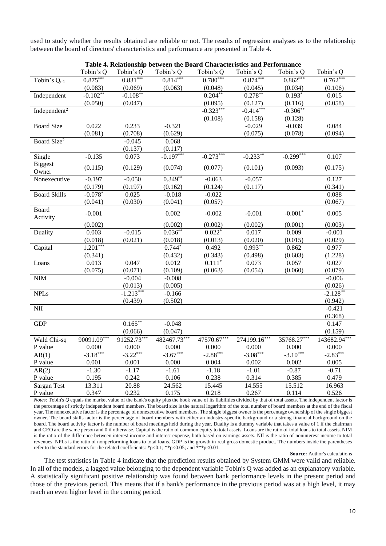used to study whether the results obtained are reliable or not. The results of regression analyses as to the relationship between the board of directors' characteristics and performance are presented in Table 4.

| Table 4. Relationship between the Board Characteristics and Performance |             |                           |              |             |              |             |              |  |
|-------------------------------------------------------------------------|-------------|---------------------------|--------------|-------------|--------------|-------------|--------------|--|
|                                                                         | Tobin's Q   | Tobin's Q                 | Tobin's Q    | Tobin's Q   | Tobin's Q    | Tobin's Q   | Tobin's Q    |  |
| Tobin's $Q_{t-1}$                                                       | $0.875***$  | $0.831***$                | $0.814***$   | $0.780***$  | $0.874***$   | $0.862***$  | $0.762**$    |  |
|                                                                         | (0.083)     | (0.069)                   | (0.063)      | (0.048)     | (0.045)      | (0.034)     | (0.106)      |  |
| Independent                                                             | $-0.102**$  | $-0.108**$                |              | $0.204***$  | $0.278**$    | $0.193*$    | 0.015        |  |
|                                                                         | (0.050)     | (0.047)                   |              | (0.095)     | (0.127)      | (0.116)     | (0.058)      |  |
| Independent <sup>2</sup>                                                |             |                           |              | $-0.323***$ | $-0.414***$  | $-0.306**$  |              |  |
|                                                                         |             |                           |              | (0.108)     | (0.158)      | (0.128)     |              |  |
| <b>Board Size</b>                                                       | 0.022       | 0.233                     | $-0.321$     |             | $-0.029$     | $-0.039$    | 0.084        |  |
|                                                                         | (0.081)     | (0.708)                   | (0.629)      |             | (0.075)      | (0.078)     | (0.094)      |  |
| Board Size <sup>2</sup>                                                 |             | $-0.045$                  | 0.068        |             |              |             |              |  |
|                                                                         |             | (0.137)                   | (0.117)      |             |              |             |              |  |
| Single                                                                  | $-0.135$    | 0.073                     | $-0.197***$  | $-0.273***$ | $-0.233**$   | $-0.299***$ | 0.107        |  |
| <b>Biggest</b><br>Owner                                                 | (0.115)     | (0.129)                   | (0.074)      | (0.077)     | (0.101)      | (0.093)     | (0.175)      |  |
| Nonexecutive                                                            | $-0.197$    | $-0.050$                  | $0.349**$    | $-0.063$    | $-0.057$     |             | 0.127        |  |
|                                                                         | (0.179)     | (0.197)                   | (0.162)      | (0.124)     | (0.117)      |             | (0.341)      |  |
| <b>Board Skills</b>                                                     | $-0.078*$   | 0.025                     | $-0.018$     | $-0.022$    |              |             | 0.088        |  |
|                                                                         | (0.041)     | (0.030)                   | (0.041)      | (0.057)     |              |             | (0.067)      |  |
| <b>Board</b><br>Activity                                                | $-0.001$    |                           | 0.002        | $-0.002$    | $-0.001$     | $-0.001*$   | 0.005        |  |
|                                                                         | (0.002)     |                           | (0.002)      | (0.002)     | (0.002)      | (0.001)     | (0.003)      |  |
| Duality                                                                 | 0.003       | $-0.015$                  | $0.036***$   | $0.022*$    | 0.017        | 0.009       | $-0.001$     |  |
|                                                                         | (0.018)     | (0.021)                   | (0.018)      | (0.013)     | (0.020)      | (0.015)     | (0.029)      |  |
| Capital                                                                 | $1.201***$  |                           | $0.744*$     | 0.492       | $0.993**$    | 0.862       | 0.977        |  |
|                                                                         | (0.341)     |                           | (0.432)      | (0.343)     | (0.498)      | (0.603)     | (1.228)      |  |
| Loans                                                                   | 0.013       | 0.047                     | 0.012        | $0.111*$    | 0.073        | 0.057       | 0.027        |  |
|                                                                         | (0.075)     | (0.071)                   | (0.109)      | (0.063)     | (0.054)      | (0.060)     | (0.079)      |  |
| $\mathbf{NIM}$                                                          |             | $-0.004$                  | $-0.008$     |             |              |             | $-0.006$     |  |
|                                                                         |             | (0.013)                   | (0.005)      |             |              |             | (0.026)      |  |
| <b>NPLs</b>                                                             |             | $-1.213***$               | $-0.166$     |             |              |             | $-2.128**$   |  |
|                                                                         |             | (0.439)                   | (0.502)      |             |              |             | (0.942)      |  |
| $\rm NII$                                                               |             |                           |              |             |              |             | $-0.421$     |  |
|                                                                         |             |                           |              |             |              |             | (0.368)      |  |
| ${\rm GDP}$                                                             |             | $0.165***$                | $-0.048$     |             |              |             | 0.147        |  |
|                                                                         |             | (0.066)                   | (0.047)      |             |              |             | (0.159)      |  |
| Wald Chi-sq                                                             | 90091.09*** | $91\overline{252.73}$ *** | 482467.73*** | 47570.67*** | 274199.16*** | 35768.27*** | 143682.94*** |  |
| P value                                                                 | 0.000       | 0.000                     | 0.000        | 0.000       | 0.000        | 0.000       | 0.000        |  |
| AR(1)                                                                   | $-3.18***$  | $-3.22***$                | $-3.67***$   | $-2.88***$  | $-3.08***$   | $-3.10***$  | $-2.83***$   |  |
| P value                                                                 | 0.001       | 0.001                     | 0.000        | 0.004       | 0.002        | 0.002       | 0.005        |  |
| AR(2)                                                                   | $-1.30$     | $-1.17$                   | $-1.61$      | $-1.18$     | $-1.01$      | $-0.87$     | $-0.71$      |  |
| P value                                                                 | 0.195       | 0.242                     | 0.106        | 0.238       | 0.314        | 0.385       | 0.479        |  |
| Sargan Test                                                             | 13.311      | 20.88                     | 24.562       | 15.445      | 14.555       | 15.512      | 16.963       |  |
| P value                                                                 | 0.347       | 0.232                     | 0.175        | 0.218       | 0.267        | 0.114       | 0.526        |  |
|                                                                         |             |                           |              |             |              |             |              |  |

**Table 4. Relationship between the Board Characteristics and Performance**

*Notes:* Tobin's *Q* equals the market value of the bank's equity plus the book value of its liabilities divided by that of total assets. The independent factor is the percentage of strictly independent board members. The board size is the natural logarithm of the total number of board members at the end of the fiscal year. The nonexecutive factor is the percentage of nonexecutive board members. The single biggest owner is the percentage ownership of the single biggest owner. The board skills factor is the percentage of board members with either an industry-specific background or a strong financial background on the board. The board activity factor is the number of board meetings held during the year. Duality is a dummy variable that takes a value of 1 if the chairman and CEO are the same person and 0 if otherwise. Capital is the ratio of common equity to total assets. Loans are the ratio of total loans to total assets. NIM is the ratio of the difference between interest income and interest expense, both based on earnings assets. NII is the ratio of noninterest income to total revenues. NPLs is the ratio of nonperforming loans to total loans. GDP is the growth in real gross domestic product. The numbers inside the parentheses refer to the standard errors for the related coefficients: \*p<0.1; \*\*p<0.05; and \*\*\*p<0.01.

**Source:** Author's calculations

The test statistics in Table 4 indicate that the prediction results obtained by System GMM were valid and reliable. In all of the models, a lagged value belonging to the dependent variable Tobin's Q was added as an explanatory variable. A statistically significant positive relationship was found between bank performance levels in the present period and those of the previous period. This means that if a bank's performance in the previous period was at a high level, it may reach an even higher level in the coming period.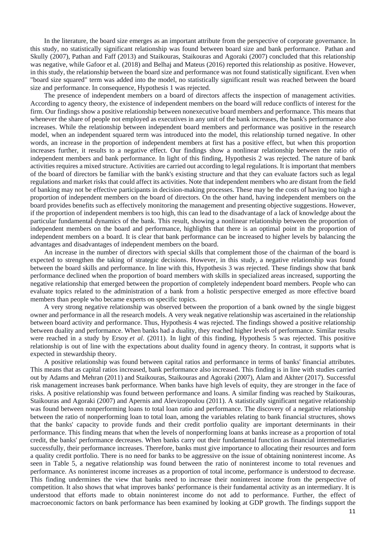In the literature, the board size emerges as an important attribute from the perspective of corporate governance. In this study, no statistically significant relationship was found between board size and bank performance. Pathan and Skully (2007), Pathan and Faff (2013) and Staikouras, Staikouras and Agoraki (2007) concluded that this relationship was negative, while Gafoor et al. (2018) and Belhaj and Mateus (2016) reported this relationship as positive. However, in this study, the relationship between the board size and performance was not found statistically significant. Even when "board size squared" term was added into the model, no statistically significant result was reached between the board size and performance. In consequence, Hypothesis 1 was rejected.

The presence of independent members on a board of directors affects the inspection of management activities. According to agency theory, the existence of independent members on the board will reduce conflicts of interest for the firm. Our findings show a positive relationship between nonexecutive board members and performance. This means that whenever the share of people not employed as executives in any unit of the bank increases, the bank's performance also increases. While the relationship between independent board members and performance was positive in the research model, when an independent squared term was introduced into the model, this relationship turned negative. In other words, an increase in the proportion of independent members at first has a positive effect, but when this proportion increases further, it results to a negative effect. Our findings show a nonlinear relationship between the ratio of independent members and bank performance. In light of this finding, Hypothesis 2 was rejected. The nature of bank activities requires a mixed structure. Activities are carried out according to legal regulations. It is important that members of the board of directors be familiar with the bank's existing structure and that they can evaluate factors such as legal regulations and market risks that could affect its activities. Note that independent members who are distant from the field of banking may not be effective participants in decision-making processes. These may be the costs of having too high a proportion of independent members on the board of directors. On the other hand, having independent members on the board provides benefits such as effectively monitoring the management and presenting objective suggestions. However, if the proportion of independent members is too high, this can lead to the disadvantage of a lack of knowledge about the particular fundamental dynamics of the bank. This result, showing a nonlinear relationship between the proportion of independent members on the board and performance, highlights that there is an optimal point in the proportion of independent members on a board. It is clear that bank performance can be increased to higher levels by balancing the advantages and disadvantages of independent members on the board.

An increase in the number of directors with special skills that complement those of the chairman of the board is expected to strengthen the taking of strategic decisions. However, in this study, a negative relationship was found between the board skills and performance. In line with this, Hypothesis 3 was rejected. These findings show that bank performance declined when the proportion of board members with skills in specialized areas increased, supporting the negative relationship that emerged between the proportion of completely independent board members. People who can evaluate topics related to the administration of a bank from a holistic perspective emerged as more effective board members than people who became experts on specific topics.

A very strong negative relationship was observed between the proportion of a bank owned by the single biggest owner and performance in all the research models. A very weak negative relationship was ascertained in the relationship between board activity and performance. Thus, Hypothesis 4 was rejected. The findings showed a positive relationship between duality and performance. When banks had a duality, they reached higher levels of performance. Similar results were reached in a study by Ersoy *et al*. (2011). In light of this finding, Hypothesis 5 was rejected. This positive relationship is out of line with the expectations about duality found in agency theory. In contrast, it supports what is expected in stewardship theory.

A positive relationship was found between capital ratios and performance in terms of banks' financial attributes. This means that as capital ratios increased, bank performance also increased. This finding is in line with studies carried out by Adams and Mehran (2011) and Staikouras, Staikouras and Agoraki (2007), Alam and Akhter (2017). Successful risk management increases bank performance. When banks have high levels of equity, they are stronger in the face of risks. A positive relationship was found between performance and loans. A similar finding was reached by Staikouras, Staikouras and Agoraki (2007) and Apernis and Alevizopoulou (2011). A statistically significant negative relationship was found between nonperforming loans to total loan ratio and performance. The discovery of a negative relationship between the ratio of nonperforming loan to total loan, among the variables relating to bank financial structures, shows that the banks' capacity to provide funds and their credit portfolio quality are important determinants in their performance. This finding means that when the levels of nonperforming loans at banks increase as a proportion of total credit, the banks' performance decreases. When banks carry out their fundamental function as financial intermediaries successfully, their performance increases. Therefore, banks must give importance to allocating their resources and form a quality credit portfolio. There is no need for banks to be aggressive on the issue of obtaining noninterest income. As seen in Table 5, a negative relationship was found between the ratio of noninterest income to total revenues and performance. As noninterest income increases as a proportion of total income, performance is understood to decrease. This finding undermines the view that banks need to increase their noninterest income from the perspective of competition. It also shows that what improves banks' performance is their fundamental activity as an intermediary. It is understood that efforts made to obtain noninterest income do not add to performance. Further, the effect of macroeconomic factors on bank performance has been examined by looking at GDP growth. The findings support the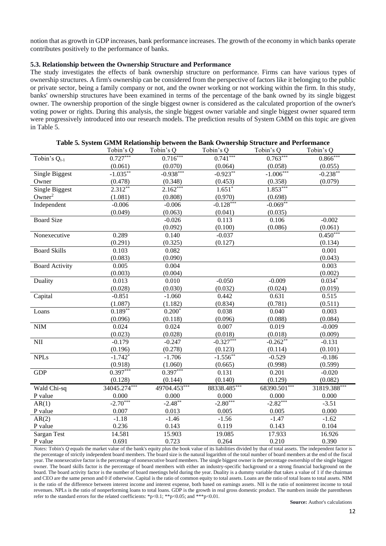notion that as growth in GDP increases, bank performance increases. The growth of the economy in which banks operate contributes positively to the performance of banks.

# **5.3. Relationship between the Ownership Structure and Performance**

The study investigates the effects of bank ownership structure on performance. Firms can have various types of ownership structures. A firm's ownership can be considered from the perspective of factors like it belonging to the public or private sector, being a family company or not, and the owner working or not working within the firm. In this study, banks' ownership structures have been examined in terms of the percentage of the bank owned by its single biggest owner. The ownership proportion of the single biggest owner is considered as the calculated proportion of the owner's voting power or rights. During this analysis, the single biggest owner variable and single biggest owner squared term were progressively introduced into our research models. The prediction results of System GMM on this topic are given in Table 5.

|                          | Tobin's Q    | Tobin's Q    | Tobin's Q    | Tobin's Q    | Tobin's Q    |
|--------------------------|--------------|--------------|--------------|--------------|--------------|
| Tobin's Q <sub>t-1</sub> | $0.727***$   | $0.716***$   | $0.741***$   | $0.763***$   | $0.866***$   |
|                          | (0.061)      | (0.070)      | (0.064)      | (0.058)      | (0.055)      |
| Single Biggest           | $-1.035***$  | $-0.938***$  | $-0.923***$  | $-1.006***$  | $-0.238***$  |
| Owner                    | (0.478)      | (0.348)      | (0.453)      | (0.358)      | (0.079)      |
| <b>Single Biggest</b>    | $2.312**$    | $2.162***$   | $1.651*$     | $1.853***$   |              |
| Owner <sup>2</sup>       | (1.081)      | (0.808)      | (0.970)      | (0.698)      |              |
| Independent              | $-0.006$     | $-0.006$     | $-0.128***$  | $-0.069***$  |              |
|                          | (0.049)      | (0.063)      | (0.041)      | (0.035)      |              |
| <b>Board Size</b>        |              | $-0.026$     | 0.113        | 0.106        | $-0.002$     |
|                          |              | (0.092)      | (0.100)      | (0.086)      | (0.061)      |
| Nonexecutive             | 0.289        | 0.140        | $-0.037$     |              | $0.450***$   |
|                          | (0.291)      | (0.325)      | (0.127)      |              | (0.134)      |
| <b>Board Skills</b>      | 0.103        | 0.082        |              |              | 0.001        |
|                          | (0.083)      | (0.090)      |              |              | (0.043)      |
| <b>Board Activity</b>    | 0.005        | 0.004        |              |              | 0.003        |
|                          | (0.003)      | (0.004)      |              |              | (0.002)      |
| Duality                  | 0.013        | 0.010        | $-0.050$     | $-0.009$     | $0.034*$     |
|                          | (0.028)      | (0.030)      | (0.032)      | (0.024)      | (0.019)      |
| Capital                  | $-0.851$     | $-1.060$     | 0.442        | 0.631        | 0.515        |
|                          | (1.087)      | (1.182)      | (0.834)      | (0.781)      | (0.511)      |
| Loans                    | $0.189**$    | $0.200*$     | 0.038        | 0.040        | 0.003        |
|                          | (0.096)      | (0.118)      | (0.096)      | (0.088)      | (0.084)      |
| <b>NIM</b>               | 0.024        | 0.024        | 0.007        | 0.019        | $-0.009$     |
|                          | (0.023)      | (0.028)      | (0.018)      | (0.018)      | (0.009)      |
| NII                      | $-0.179$     | $-0.247$     | $-0.327***$  | $-0.262**$   | $-0.131$     |
|                          | (0.196)      | (0.278)      | (0.123)      | (0.114)      | (0.101)      |
| <b>NPLs</b>              | $-1.742*$    | $-1.706$     | $-1.556***$  | $-0.529$     | $-0.186$     |
|                          | (0.918)      | (1.060)      | (0.665)      | (0.998)      | (0.599)      |
| <b>GDP</b>               | $0.397***$   | $0.397***$   | 0.131        | 0.201        | $-0.020$     |
|                          | (0.128)      | (0.144)      | (0.140)      | (0.129)      | (0.082)      |
| Wald Chi-sq              | 34045.274*** | 49704.453*** | 88338.485*** | 68390.501*** | 31819.388*** |
| P value                  | 0.000        | 0.000        | 0.000        | 0.000        | 0.000        |
| AR(1)                    | $-2.70***$   | $-2.48**$    | $-2.80***$   | $-2.82***$   | $-3.51$      |
| P value                  | 0.007        | 0.013        | 0.005        | 0.005        | 0.000        |
| AR(2)                    | $-1.18$      | $-1.46$      | $-1.56$      | $-1.47$      | $-1.62$      |
| P value                  | 0.236        | 0.143        | 0.119        | 0.143        | 0.104        |
| Sargan Test              | 14.581       | 15.903       | 19.085       | 17.933       | 16.926       |
| P value                  | 0.691        | 0.723        | 0.264        | 0.210        | 0.390        |

| Table 5. System GMM Relationship between the Bank Ownership Structure and Performance |  |  |
|---------------------------------------------------------------------------------------|--|--|
|                                                                                       |  |  |

*Notes:* Tobin's *Q* equals the market value of the bank's equity plus the book value of its liabilities divided by that of total assets. The independent factor is the percentage of strictly independent board members. The board size is the natural logarithm of the total number of board members at the end of the fiscal year. The nonexecutive factor is the percentage of nonexecutive board members. The single biggest owner is the percentage ownership of the single biggest owner. The board skills factor is the percentage of board members with either an industry-specific background or a strong financial background on the board. The board activity factor is the number of board meetings held during the year. Duality is a dummy variable that takes a value of 1 if the chairman and CEO are the same person and 0 if otherwise. Capital is the ratio of common equity to total assets. Loans are the ratio of total loans to total assets. NIM is the ratio of the difference between interest income and interest expense, both based on earnings assets. NII is the ratio of noninterest income to total revenues. NPLs is the ratio of nonperforming loans to total loans. GDP is the growth in real gross domestic product. The numbers inside the parentheses refer to the standard errors for the related coefficients: \*p<0.1; \*\*p<0.05; and \*\*\*p<0.01.

**Source:** Author's calculations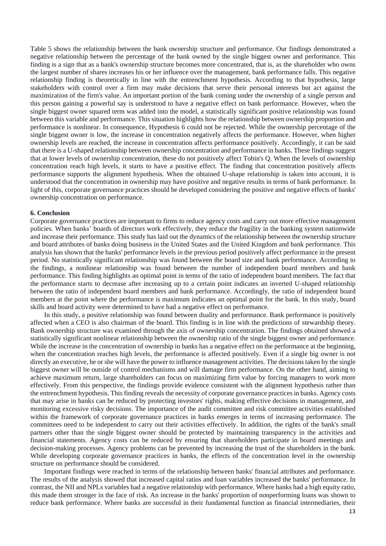Table 5 shows the relationship between the bank ownership structure and performance. Our findings demonstrated a negative relationship between the percentage of the bank owned by the single biggest owner and performance. This finding is a sign that as a bank's ownership structure becomes more concentrated, that is, as the shareholder who owns the largest number of shares increases his or her influence over the management, bank performance falls. This negative relationship finding is theoretically in line with the entrenchment hypothesis. According to that hypothesis, large stakeholders with control over a firm may make decisions that serve their personal interests but act against the maximization of the firm's value. An important portion of the bank coming under the ownership of a single person and this person gaining a powerful say is understood to have a negative effect on bank performance. However, when the single biggest owner squared term was added into the model, a statistically significant positive relationship was found between this variable and performance. This situation highlights how the relationship between ownership proportion and performance is nonlinear. In consequence, Hypothesis 6 could not be rejected. While the ownership percentage of the single biggest owner is low, the increase in concentration negatively affects the performance. However, when higher ownership levels are reached, the increase in concentration affects performance positively. Accordingly, it can be said that there is a U-shaped relationship between ownership concentration and performance in banks. These findings suggest that at lower levels of ownership concentration, these do not positively affect Tobin's Q. When the levels of ownership concentration reach high levels, it starts to have a positive effect. The finding that concentration positively affects performance supports the alignment hypothesis. When the obtained U-shape relationship is taken into account, it is understood that the concentration in ownership may have positive and negative results in terms of bank performance. In light of this, corporate governance practices should be developed considering the positive and negative effects of banks' ownership concentration on performance.

### **6. Conclusion**

Corporate governance practices are important to firms to reduce agency costs and carry out more effective management policies. When banks' boards of directors work effectively, they reduce the fragility in the banking system nationwide and increase their performance. This study has laid out the dynamics of the relationship between the ownership structure and board attributes of banks doing business in the United States and the United Kingdom and bank performance. This analysis has shown that the banks' performance levels in the previous period positively affect performance in the present period. No statistically significant relationship was found between the board size and bank performance. According to the findings, a nonlinear relationship was found between the number of independent board members and bank performance. This finding highlights an optimal point in terms of the ratio of independent board members. The fact that the performance starts to decrease after increasing up to a certain point indicates an inverted U-shaped relationship between the ratio of independent board members and bank performance. Accordingly, the ratio of independent board members at the point where the performance is maximum indicates an optimal point for the bank. In this study, board skills and board activity were determined to have had a negative effect on performance.

In this study, a positive relationship was found between duality and performance. Bank performance is positively affected when a CEO is also chairman of the board. This finding is in line with the predictions of stewardship theory. Bank ownership structure was examined through the axis of ownership concentration. The findings obtained showed a statistically significant nonlinear relationship between the ownership ratio of the single biggest owner and performance. While the increase in the concentration of ownership in banks has a negative effect on the performance at the beginning, when the concentration reaches high levels, the performance is affected positively. Even if a single big owner is not directly an executive, he or she will have the power to influence management activities. The decisions taken by the single biggest owner will be outside of control mechanisms and will damage firm performance. On the other hand, aiming to achieve maximum return, large shareholders can focus on maximizing firm value by forcing managers to work more effectively. From this perspective, the findings provide evidence consistent with the alignment hypothesis rather than the entrenchment hypothesis. This finding reveals the necessity of corporate governance practices in banks. Agency costs that may arise in banks can be reduced by protecting investors' rights, making effective decisions in management, and monitoring excessive risky decisions. The importance of the audit committee and risk committee activities established within the framework of corporate governance practices in banks emerges in terms of increasing performance. The committees need to be independent to carry out their activities effectively. In addition, the rights of the bank's small partners other than the single biggest owner should be protected by maintaining transparency in the activities and financial statements. Agency costs can be reduced by ensuring that shareholders participate in board meetings and decision-making processes. Agency problems can be prevented by increasing the trust of the shareholders in the bank. While developing corporate governance practices in banks, the effects of the concentration level in the ownership structure on performance should be considered.

Important findings were reached in terms of the relationship between banks' financial attributes and performance. The results of the analysis showed that increased capital ratios and loan variables increased the banks' performance. In contrast, the NII and NPLs variables had a negative relationship with performance. Where banks had a high equity ratio, this made them stronger in the face of risk. An increase in the banks' proportion of nonperforming loans was shown to reduce bank performance. Where banks are successful in their fundamental function as financial intermediaries, their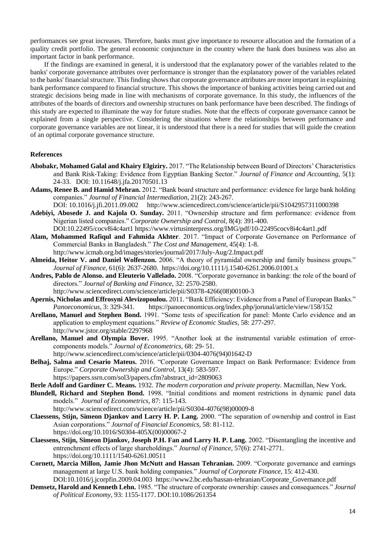performances see great increases. Therefore, banks must give importance to resource allocation and the formation of a quality credit portfolio. The general economic conjuncture in the country where the bank does business was also an important factor in bank performance.

If the findings are examined in general, it is understood that the explanatory power of the variables related to the banks' corporate governance attributes over performance is stronger than the explanatory power of the variables related to the banks' financial structure. This finding shows that corporate governance attributes are more important in explaining bank performance compared to financial structure. This shows the importance of banking activities being carried out and strategic decisions being made in line with mechanisms of corporate governance. In this study, the influences of the attributes of the boards of directors and ownership structures on bank performance have been described. The findings of this study are expected to illuminate the way for future studies. Note that the effects of corporate governance cannot be explained from a single perspective. Considering the situations where the relationships between performance and corporate governance variables are not linear, it is understood that there is a need for studies that will guide the creation of an optimal corporate governance structure.

## **References**

- **Abobakr, Mohamed Galal and Khairy Elgiziry.** 2017. "The Relationship between Board of Directors' Characteristics and Bank Risk-Taking: Evidence from Egyptian Banking Sector." *Journal of Finance and Accounting,* 5(1): 24-33. DOI: 10.11648/j.jfa.20170501.13
- **Adams, Renee B. and Hamid Mehran.** 2012. "Bank board structure and performance: evidence for large bank holding companies." *Journal of Financial Intermediation*, 21(2): 243-267. DOI: 10.1016/j.jfi.2011.09.002 http://www.sciencedirect.com/science/article/pii/S1042957311000398
- **Adebiyi, Abosede J. and Kajola O. Sunday.** 2011. "Ownership structure and firm performance: evidence from Nigerian listed companies." *Corporate Ownership and Control,* 8(4): 391-400. DOI:10.22495/cocv8i4c4art1 https://www.virtusinterpress.org/IMG/pdf/10-22495cocv8i4c4art1.pdf
- **Alam, Mohammed Rafiqul and Fahmida Akhter**. 2017. "Impact of Corporate Governance on Performance of Commercial Banks in Bangladesh." *The Cost and Management*, 45(4): 1-8. http://www.icmab.org.bd/images/stories/journal/2017/July-Aug/2.Impact.pdf
- **Almeida, Heitor V. and Daniel Wolfenzon.** 2006. "A theory of pyramidal ownership and family business groups." *Journal of Finance*, 61(6): 2637-2680.<https://doi.org/10.1111/j.1540-6261.2006.01001.x>
- **Andres, Pablo de Alonso. and Eleuterio Vallelado.** 2008. "Corporate governance in banking: the role of the board of directors." *Journal of Banking and Finance*, 32: 2570-2580. [http://www.sciencedirect.com/science/article/pii/S0378-4266\(08\)00100-3](https://econpapers.repec.org/scripts/redir.pf?u=http%3A%2F%2Fwww.sciencedirect.com%2Fscience%2Farticle%2Fpii%2FS0378-4266%2808%2900100-3;h=repec:eee:jbfina:v:32:y:2008:i:12:p:2570-2580)
- **Apernis, Nicholas and Effrosyni Alevizopoulou.** 2011. "Bank Efficiency: Evidence from a Panel of European Banks." *Panoeconomicus,* 3: 329-341. https://panoeconomicus.org/index.php/jorunal/article/view/158/152
- **Arellano, Manuel and Stephen Bond.** 1991. "Some tests of specification for panel: Monte Carlo evidence and an application to employment equations." *Review of Economic Studies*, 58: 277-297. http://www.jstor.org/stable/2297968
- **Arellano, Manuel and Olympia Bover.** 1995. "Another look at the instrumental variable estimation of errorcomponents models." *Journal of Econometrics*, 68: 29- 51. [http://www.sciencedirect.com/science/article/pii/0304-4076\(94\)01642-D](https://econpapers.repec.org/scripts/redir.pf?u=http%3A%2F%2Fwww.sciencedirect.com%2Fscience%2Farticle%2Fpii%2F0304-4076%2894%2901642-D;h=repec:eee:econom:v:68:y:1995:i:1:p:29-51)
- **Belhaj, Salma and Cesario Mateus.** 2016. "Corporate Governance Impact on Bank Performance: Evidence from Europe." *Corporate Ownership and Control*, 13(4): 583-597. https://papers.ssrn.com/sol3/papers.cfm?abstract\_id=2809063
- **Berle Adolf and Gardiner C. Means.** 1932. *The modern corporation and private property*. Macmillan, New York.
- **Blundell, Richard and Stephen Bond.** 1998. "Initial conditions and moment restrictions in dynamic panel data models." *Journal of Econometrics*, 87: 115-143. [http://www.sciencedirect.com/science/article/pii/S0304-4076\(98\)00009-8](https://econpapers.repec.org/scripts/redir.pf?u=http%3A%2F%2Fwww.sciencedirect.com%2Fscience%2Farticle%2Fpii%2FS0304-4076%2898%2900009-8;h=repec:eee:econom:v:87:y:1998:i:1:p:115-143)
- **Claessens, Stijn, Simeon Djankov and Larry H. P. Lang.** 2000. "The separation of ownership and control in East Asian corporations." *Journal of Financial Economics,* 58: 81-112. [https://doi.org/10.1016/S0304-405X\(00\)00067-2](https://doi.org/10.1016/S0304-405X(00)00067-2)
- **Claessens, Stijn, Simeon Djankov, Joseph P.H. Fan and Larry H. P. Lang.** 2002. "Disentangling the incentive and entrenchment effects of large shareholdings." *Journal of Finance*, 57(6): 2741-2771. <https://doi.org/10.1111/1540-6261.00511>
- **Cornett, Marcia Millon, Jamie Jhon McNutt and Hassan Tehranian.** 2009. "Corporate governance and earnings management at large U.S. bank holding companies." *Journal of Corporate Finance*, 15: 412-430. DOI:10.1016/j.jcorpfin.2009.04.003 https://www2.bc.edu/hassan-tehranian/Corporate\_Governance.pdf
- **Demsetz, Harold and Kenneth Lehn.** 1985. "The structure of corporate ownership: causes and consequences." *Journal of Political Economy*, 93: 1155-1177. DOI:10.1086/261354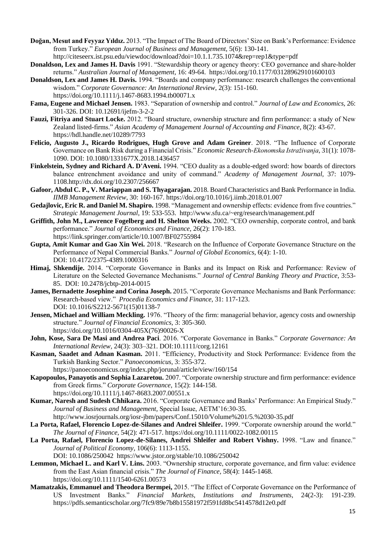- **Doğan, Mesut and Feyyaz Yıldız.** 2013. "The Impact of The Board of Directors' Size on Bank's Performance: Evidence from Turkey." *European Journal of Business and Management*, 5(6): 130-141. http://citeseerx.ist.psu.edu/viewdoc/download?doi=10.1.1.735.1074&rep=rep1&type=pdf
- **Donaldson, Lex and James H. Davis** 1991. "Stewardship theory or agency theory: CEO governance and share-holder returns." *Australian Journal of Management*, 16: 49-64. [https://doi.org/10.1177/031289629101600103](https://doi.org/10.1177%2F031289629101600103)
- **Donaldson, Lex and James H. Davis.** 1994. "Boards and company performance: research challenges the conventional wisdom." *Corporate Governance: An International Review*, 2(3): 151-160. <https://doi.org/10.1111/j.1467-8683.1994.tb00071.x>
- **Fama, Eugene and Michael Jensen.** 1983. "Separation of ownership and control." *Journal of Law and Economics,* 26: 301-326. DOI: 10.12691/ijefm-3-2-2
- **Fauzi, Fitriya and Stuart Locke.** 2012. "Board structure, ownership structure and firm performance: a study of New Zealand listed-firms." *Asian Academy of Management Journal of Accounting and Finance*, 8(2): 43-67. <https://hdl.handle.net/10289/7793>
- **Felicio, Augusto J., Ricardo Rodrigues, Hugh Grove and Adam Greiner**. 2018. "The Influence of Corporate Governance on Bank Risk during a Financial Crisis." *Economic Research-Ekonomska Istraživanja*, 31(1): 1078- 1090. DOI: 10.1080/1331677X.2018.1436457
- **Finkelstein, Sydney and Richard A. D'Aveni.** 1994. "CEO duality as a double-edged sword: how boards of directors balance entrenchment avoidance and unity of command." *Academy of Management Journal,* 37: 1079- 1108[.http://dx.doi.org/10.2307/256667](https://psycnet.apa.org/doi/10.2307/256667)
- **Gafoor, Abdul C. P., V. Mariappan and S. Thyagarajan.** 2018. Board Characteristics and Bank Performance in India. *IIMB Management Review*, 30: 160-167. https://doi.org/10.1016/j.iimb.2018.01.007
- **Gedajlovic, Eric R. and Daniel M. Shapiro.** 1998. "Management and ownership effects: evidence from five countries." *Strategic Management Journal*, 19: 533-553. http://www.sfu.ca/~erg/research/management.pdf
- **Griffith, John M., Lawrence Fogelberg and H. Shelton Weeks.** 2002. "CEO ownership, corporate control, and bank performance." *Journal of Economics and Finance*, 26(2): 170-183. https://link.springer.com/article/10.1007/BF02755984
- **Gupta, Amit Kumar and Gao Xin Wei.** 2018. "Research on the Influence of Corporate Governance Structure on the Performance of Nepal Commercial Banks." *Journal of Global Economics*, 6(4): 1-10. DOI: 10.4172/2375-4389.1000316
- **Himaj, Shkendije.** 2014. "Corporate Governance in Banks and its Impact on Risk and Performance: Review of Literature on the Selected Governance Mechanisms." *Journal of Central Banking Theory and Practice*, 3:53- 85. DOI: 10.2478/jcbtp-2014-0015
- **James, Bernadette Josephine and Corina Joseph.** 2015. "Corporate Governance Mechanisms and Bank Performance: Research-based view." *Procedia Economics and Finance*, 31: 117-123. DOI: 10.1016/S2212-5671(15)01138-7
- **Jensen, Michael and William Meckling.** 1976. "Theory of the firm: managerial behavior, agency costs and ownership structure." *Journal of Financial Economics*, 3: 305-360. [https://doi.org/10.1016/0304-405X\(76\)90026-X](https://doi.org/10.1016/0304-405X(76)90026-X)
- **John, Kose, Sara De Masi and Andrea Paci**. 2016. "Corporate Governance in Banks." *Corporate Governance: An International Review,* 24(3): 303–321. DOI:10.1111/corg.12161
- **Kasman, Saadet and Adnan Kasman.** 2011. "Efficiency, Productivity and Stock Performance: Evidence from the Turkish Banking Sector." *Panoeconomicus,* 3: 355-372.
	- https://panoeconomicus.org/index.php/jorunal/article/view/160/154
- **Kapopoulos, Panayotis and Sophia Lazaretou.** 2007. "Corporate ownership structure and firm performance: evidence from Greek firms." *Corporate Governance*, 15(2): 144-158. <https://doi.org/10.1111/j.1467-8683.2007.00551.x>
- **Kumar, Naresh and Sudesh Chhikara.** 2016. "Corporate Governance and Banks' Performance: An Empirical Study." *Journal of Business and Management,* Special Issue, AETM'16:30-35.

<http://www.iosrjournals.org/iosr-jbm/papers/Conf.15010/Volume%201/5.%2030-35.pdf>

- **La Porta, Rafael, Florencio Lopez-de-Silanes and Andrei Shleifer.** 1999. "Corporate ownership around the world." *The Journal of Finance*, 54(2): 471-517.<https://doi.org/10.1111/0022-1082.00115>
- **La Porta, Rafael, Florencio Lopez-de-Silanes, Andrei Shleifer and Robert Vishny.** 1998. "Law and finance." *Journal of Political Economy,* 106(6): 1113-1155.
	- DOI: 10.1086/250042 https://www.jstor.org/stable/10.1086/250042
- **Lemmon, Michael L. and Karl V. Lins.** 2003. "Ownership structure, corporate governance, and firm value: evidence from the East Asian financial crisis." *The Journal of Finance,* 58(4): 1445-1468. <https://doi.org/10.1111/1540-6261.00573>
- **Mamatzakis, Emmanuel and Theodora Bermpei,** 2015. "The Effect of Corporate Governance on the Performance of US Investment Banks." *Financial Markets, Institutions and Instruments,* 24(2-3): 191-239. https://pdfs.semanticscholar.org/7fc9/89e7b8b15581972f591fd8bc5414578d12e0.pdf